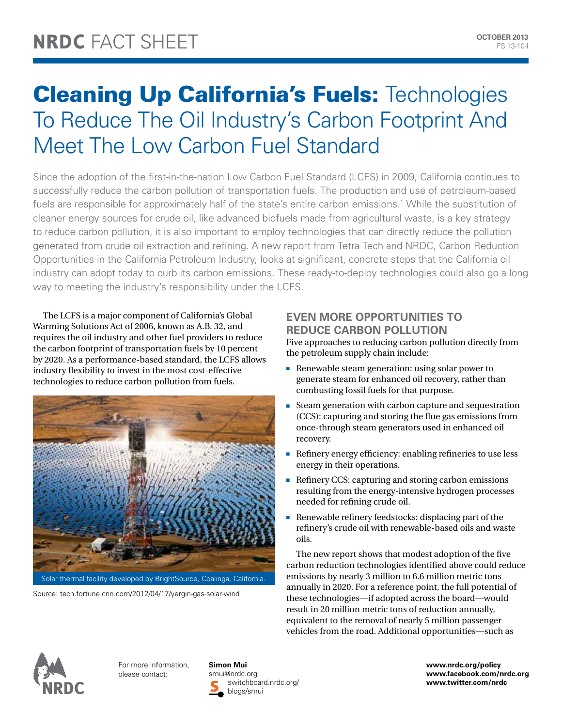# **Cleaning Up California's Fuels: Technologies** To Reduce The Oil Industry's Carbon Footprint And Meet The Low Carbon Fuel Standard

Since the adoption of the first-in-the-nation Low Carbon Fuel Standard (LCFS) in 2009, California continues to successfully reduce the carbon pollution of transportation fuels. The production and use of petroleum-based fuels are responsible for approximately half of the state's entire carbon emissions.<sup>1</sup> While the substitution of cleaner energy sources for crude oil, like advanced biofuels made from agricultural waste, is a key strategy to reduce carbon pollution, it is also important to employ technologies that can directly reduce the pollution generated from crude oil extraction and refining. A new report from Tetra Tech and NRDC, Carbon Reduction Opportunities in the California Petroleum Industry, looks at significant, concrete steps that the California oil industry can adopt today to curb its carbon emissions. These ready-to-deploy technologies could also go a long way to meeting the industry's responsibility under the LCFS.

The LCFS is a major component of California's Global Warming Solutions Act of 2006, known as A.B. 32, and requires the oil industry and other fuel providers to reduce the carbon footprint of transportation fuels by 10 percent by 2020. As a performance-based standard, the LCFS allows industry flexibility to invest in the most cost-effective technologies to reduce carbon pollution from fuels.



Source: tech.fortune.cnn.com/2012/04/17/yergin-gas-solar-wind

# **Even More Opportunities to Reduce Carbon Pollution**

Five approaches to reducing carbon pollution directly from the petroleum supply chain include:

- **Renewable steam generation: using solar power to** generate steam for enhanced oil recovery, rather than combusting fossil fuels for that purpose.
- $\blacksquare$  Steam generation with carbon capture and sequestration (CCS): capturing and storing the flue gas emissions from once-through steam generators used in enhanced oil recovery.
- n Refinery energy efficiency: enabling refineries to use less energy in their operations.
- n Refinery CCS: capturing and storing carbon emissions resulting from the energy-intensive hydrogen processes needed for refining crude oil.
- $\blacksquare$  Renewable refinery feedstocks: displacing part of the refinery's crude oil with renewable-based oils and waste oils.

The new report shows that modest adoption of the five carbon reduction technologies identified above could reduce emissions by nearly 3 million to 6.6 million metric tons annually in 2020. For a reference point, the full potential of these technologies—if adopted across the board—would result in 20 million metric tons of reduction annually, equivalent to the removal of nearly 5 million passenger vehicles from the road. Additional opportunities—such as



For more information, please contact:

**Simon Mui** smui@nrdc.org switchboard.nrdc.org/ blogs/smui

**www.nrdc.org/policy www.facebook.com/nrdc.org www.twitter.com/nrdc**